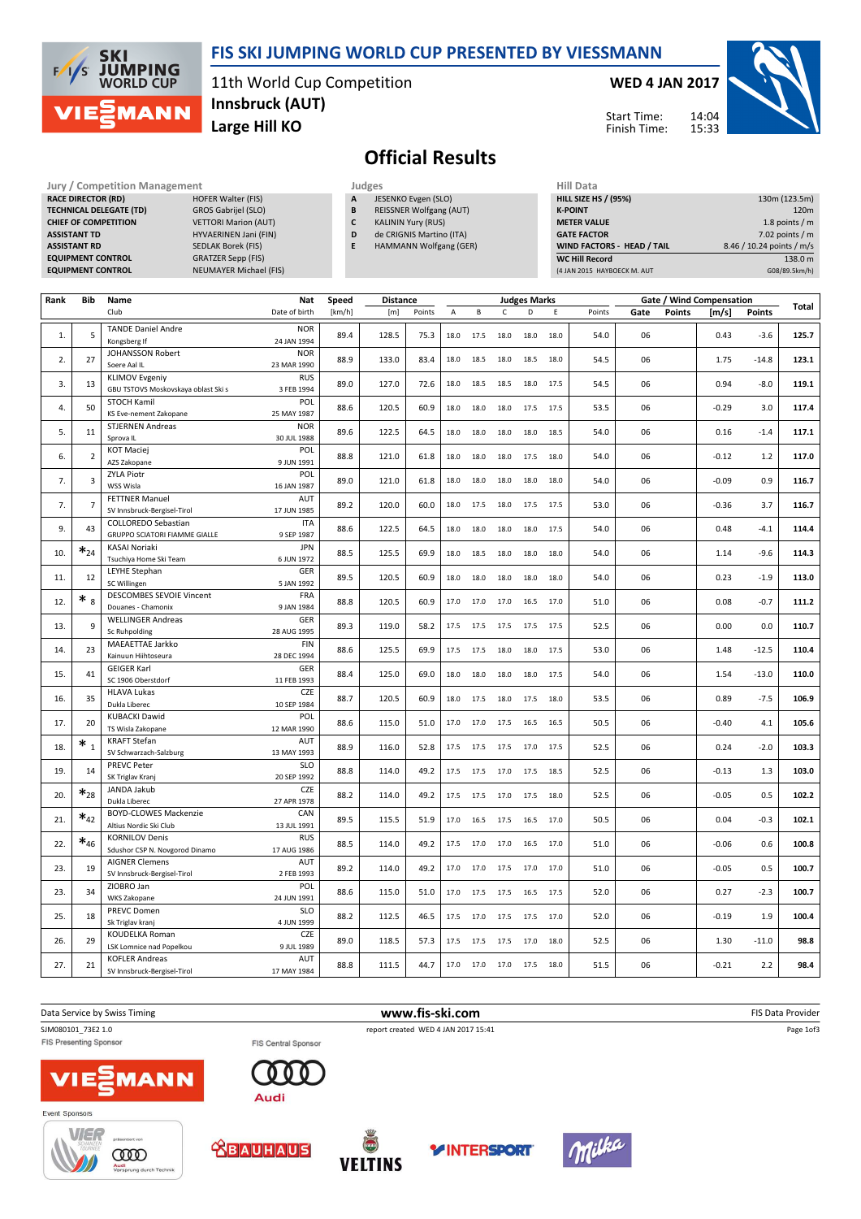

## FIS SKI JUMPING WORLD CUP PRESENTED BY VIESSMANN

11th World Cup Competition Large Hill KO Innsbruck (AUT)

#### WED 4 JAN 2017



Start Time: Finish Time:

# Official Results

RACE DIRECTOR (RD) TECHNICAL DELEGATE (TD) GROS Gabrijel (SLO) CHIEF OF COMPETITION VETTORI Marion (AUT) ASSISTANT TD HYVAERINEN Jani (FIN) ASSISTANT RD SEDLAK Borek (FIS) EQUIPMENT CONTROL GRATZER Sepp (FIS)

.<br>Iruna durch Techni

Judges Judges Hill Exercise Management Judges Judges Hill Data Competition Management Judges Hill Data Competition American Hill Data Competition American Hill Data Competition American Hill Data Competition American Hill EQUIPMENT CONTROL NEUMAYER Michael (FIS)

**JESENKO Evgen (SLO)** 

B REISSNER Wolfgang (AUT)

- C KALININ Yury (RUS)
- D de CRIGNIS Martino (ITA) E HAMMANN Wolfgang (GER)
	-

| HIII Data                         |                           |
|-----------------------------------|---------------------------|
| <b>HILL SIZE HS / (95%)</b>       | 130m (123.5m)             |
| <b>K-POINT</b>                    | 120 <sub>m</sub>          |
| <b>METER VALUE</b>                | 1.8 points $/m$           |
| <b>GATE FACTOR</b>                | 7.02 points $/m$          |
| <b>WIND FACTORS - HEAD / TAIL</b> | 8.46 / 10.24 points / m/s |
| <b>WC Hill Record</b>             | 138.0 m                   |
| (4 JAN 2015 HAYBOECK M. AUT       | G08/89.5km/h)             |

| Rank | Bib                   | Name                                                      | Nat                       | Speed  | <b>Distance</b> |        |             |                     |              | <b>Judges Marks</b> |      |        |      |               |         | Gate / Wind Compensation |       |  |  |  |  |
|------|-----------------------|-----------------------------------------------------------|---------------------------|--------|-----------------|--------|-------------|---------------------|--------------|---------------------|------|--------|------|---------------|---------|--------------------------|-------|--|--|--|--|
|      |                       | Club                                                      | Date of birth             | [km/h] | [m]             | Points | $\mathsf A$ | B                   | $\mathsf{C}$ | D                   | Ε    | Points | Gate | <b>Points</b> | [m/s]   | <b>Points</b>            | Total |  |  |  |  |
|      |                       | <b>TANDE Daniel Andre</b>                                 | <b>NOR</b>                |        |                 |        |             |                     |              |                     |      |        |      |               |         |                          |       |  |  |  |  |
| 1.   | 5                     | Kongsberg If                                              | 24 JAN 1994               | 89.4   | 128.5           | 75.3   | 18.0        | 17.5                | 18.0         | 18.0                | 18.0 | 54.0   | 06   |               | 0.43    | $-3.6$                   | 125.7 |  |  |  |  |
| 2.   | 27                    | <b>JOHANSSON Robert</b>                                   | <b>NOR</b>                | 88.9   | 133.0           | 83.4   | 18.0        | 18.5                | 18.0         | 18.5                | 18.0 | 54.5   | 06   |               | 1.75    | $-14.8$                  | 123.1 |  |  |  |  |
|      |                       | Soere Aal IL                                              | 23 MAR 1990               |        |                 |        |             |                     |              |                     |      |        |      |               |         |                          |       |  |  |  |  |
| 3.   | 13                    | <b>KLIMOV Evgeniy</b>                                     | <b>RUS</b>                | 89.0   | 127.0           | 72.6   | 18.0        | 18.5                | 18.5         | 18.0                | 17.5 | 54.5   | 06   |               | 0.94    | $-8.0$                   | 119.1 |  |  |  |  |
|      |                       | GBU TSTOVS Moskovskaya oblast Ski s<br><b>STOCH Kamil</b> | 3 FEB 1994<br>POL         |        |                 |        |             |                     |              |                     |      |        |      |               |         |                          |       |  |  |  |  |
| 4.   | 50                    | KS Eve-nement Zakopane                                    | 25 MAY 1987               | 88.6   | 120.5           | 60.9   | 18.0        | 18.0                | 18.0         | 17.5                | 17.5 | 53.5   | 06   |               | $-0.29$ | 3.0                      | 117.4 |  |  |  |  |
|      |                       | <b>STJERNEN Andreas</b>                                   | <b>NOR</b>                |        |                 |        |             |                     |              |                     |      |        |      |               |         |                          |       |  |  |  |  |
| 5.   | 11                    | Sprova IL                                                 | 30 JUL 1988               | 89.6   | 122.5           | 64.5   | 18.0        | 18.0                | 18.0         | 18.0                | 18.5 | 54.0   | 06   |               | 0.16    | $-1.4$                   | 117.1 |  |  |  |  |
| 6.   | $\overline{2}$        | <b>KOT Maciej</b>                                         | POL                       | 88.8   | 121.0           | 61.8   | 18.0        | 18.0                | 18.0         | 17.5                | 18.0 | 54.0   | 06   |               | $-0.12$ | 1.2                      | 117.0 |  |  |  |  |
|      |                       | AZS Zakopane                                              | 9 JUN 1991                |        |                 |        |             |                     |              |                     |      |        |      |               |         |                          |       |  |  |  |  |
| 7.   | 3                     | <b>ZYLA Piotr</b>                                         | POL                       | 89.0   | 121.0           | 61.8   | 18.0        | 18.0                | 18.0         | 18.0                | 18.0 | 54.0   | 06   |               | $-0.09$ | 0.9                      | 116.7 |  |  |  |  |
|      |                       | WSS Wisla<br><b>FETTNER Manuel</b>                        | 16 JAN 1987<br>AUT        |        |                 |        |             |                     |              |                     |      |        |      |               |         |                          |       |  |  |  |  |
| 7.   | $\overline{7}$        | SV Innsbruck-Bergisel-Tirol                               | 17 JUN 1985               | 89.2   | 120.0           | 60.0   | 18.0        | 17.5                | 18.0         | 17.5                | 17.5 | 53.0   | 06   |               | $-0.36$ | 3.7                      | 116.7 |  |  |  |  |
|      |                       | <b>COLLOREDO Sebastian</b>                                | <b>ITA</b>                |        |                 |        |             |                     |              |                     |      |        |      |               |         |                          |       |  |  |  |  |
| 9.   | 43                    | <b>GRUPPO SCIATORI FIAMME GIALLE</b>                      | 9 SEP 1987                | 88.6   | 122.5           | 64.5   | 18.0        | 18.0                | 18.0         | 18.0                | 17.5 | 54.0   | 06   |               | 0.48    | $-4.1$                   | 114.4 |  |  |  |  |
| 10.  | $\boldsymbol{*}_{24}$ | <b>KASAI Noriaki</b>                                      | <b>JPN</b>                | 88.5   | 125.5           | 69.9   | 18.0        | 18.5                | 18.0         | 18.0                | 18.0 | 54.0   | 06   |               | 1.14    | $-9.6$                   | 114.3 |  |  |  |  |
|      |                       | Tsuchiya Home Ski Team                                    | 6 JUN 1972                |        |                 |        |             |                     |              |                     |      |        |      |               |         |                          |       |  |  |  |  |
| 11.  | 12                    | <b>LEYHE Stephan</b>                                      | GER                       | 89.5   | 120.5           | 60.9   | 18.0        | 18.0                | 18.0         | 18.0                | 18.0 | 54.0   | 06   |               | 0.23    | $-1.9$                   | 113.0 |  |  |  |  |
|      |                       | SC Willingen<br><b>DESCOMBES SEVOIE Vincent</b>           | 5 JAN 1992<br>FRA         |        |                 |        |             |                     |              |                     |      |        |      |               |         |                          |       |  |  |  |  |
| 12.  | $*_{8}$               | Douanes - Chamonix                                        | 9 JAN 1984                | 88.8   | 120.5           | 60.9   | 17.0        | 17.0                | 17.0         | 16.5                | 17.0 | 51.0   | 06   |               | 0.08    | $-0.7$                   | 111.2 |  |  |  |  |
|      |                       | <b>WELLINGER Andreas</b>                                  | GER                       |        |                 |        |             |                     |              |                     |      |        |      |               |         |                          |       |  |  |  |  |
| 13.  | 9                     | <b>Sc Ruhpolding</b>                                      | 28 AUG 1995               | 89.3   | 119.0           | 58.2   | 17.5        | 17.5                | 17.5         | 17.5                | 17.5 | 52.5   | 06   |               | 0.00    | 0.0                      | 110.7 |  |  |  |  |
| 14.  | 23                    | MAEAETTAE Jarkko                                          | <b>FIN</b>                | 88.6   | 125.5           | 69.9   | 17.5        | 17.5                | 18.0         | 18.0                | 17.5 | 53.0   | 06   |               | 1.48    | $-12.5$                  | 110.4 |  |  |  |  |
|      |                       | Kainuun Hiihtoseura                                       | 28 DEC 1994               |        |                 |        |             |                     |              |                     |      |        |      |               |         |                          |       |  |  |  |  |
| 15.  | 41                    | <b>GEIGER Karl</b><br>SC 1906 Oberstdorf                  | GER<br>11 FEB 1993        | 88.4   | 125.0           | 69.0   | 18.0        | 18.0                | 18.0         | 18.0                | 17.5 | 54.0   | 06   |               | 1.54    | $-13.0$                  | 110.0 |  |  |  |  |
|      |                       | <b>HLAVA Lukas</b>                                        | CZE                       |        |                 |        |             |                     |              |                     |      |        |      |               |         |                          |       |  |  |  |  |
| 16.  | 35                    | Dukla Liberec                                             | 10 SEP 1984               | 88.7   | 120.5           | 60.9   | 18.0        | 17.5                | 18.0         | 17.5                | 18.0 | 53.5   | 06   |               | 0.89    | $-7.5$                   | 106.9 |  |  |  |  |
|      |                       | <b>KUBACKI Dawid</b>                                      | POL                       |        | 115.0           |        |             |                     |              |                     |      |        | 06   |               |         |                          |       |  |  |  |  |
| 17.  | 20                    | TS Wisla Zakopane                                         | 12 MAR 1990               | 88.6   |                 | 51.0   | 17.0        | 17.0                | 17.5         | 16.5                | 16.5 | 50.5   |      |               | $-0.40$ | 4.1                      | 105.6 |  |  |  |  |
| 18.  | $*_{1}$               | <b>KRAFT Stefan</b>                                       | AUT                       | 88.9   | 116.0           | 52.8   | 17.5        | 17.5                | 17.5         | 17.0                | 17.5 | 52.5   | 06   |               | 0.24    | $-2.0$                   | 103.3 |  |  |  |  |
|      |                       | SV Schwarzach-Salzburg                                    | 13 MAY 1993               |        |                 |        |             |                     |              |                     |      |        |      |               |         |                          |       |  |  |  |  |
| 19.  | 14                    | <b>PREVC Peter</b><br>SK Triglav Kranj                    | <b>SLO</b><br>20 SEP 1992 | 88.8   | 114.0           | 49.2   | 17.5        | 17.5                | 17.0         | 17.5                | 18.5 | 52.5   | 06   |               | $-0.13$ | 1.3                      | 103.0 |  |  |  |  |
|      |                       | JANDA Jakub                                               | CZE                       |        |                 |        |             |                     |              |                     |      |        |      |               |         |                          |       |  |  |  |  |
| 20.  | $*_{28}$              | Dukla Liberec                                             | 27 APR 1978               | 88.2   | 114.0           | 49.2   | 17.5        | 17.5                | 17.0         | 17.5                | 18.0 | 52.5   | 06   |               | $-0.05$ | 0.5                      | 102.2 |  |  |  |  |
|      | $\boldsymbol{*}_{42}$ | <b>BOYD-CLOWES Mackenzie</b>                              | CAN                       |        |                 |        |             |                     |              |                     |      |        |      |               | 0.04    | $-0.3$                   | 102.1 |  |  |  |  |
| 21.  |                       | Altius Nordic Ski Club                                    | 13 JUL 1991               | 89.5   |                 | 115.5  |             |                     |              | 51.9                | 17.0 | 16.5   | 17.5 | 16.5          |         | 17.0<br>50.5             | 06    |  |  |  |  |
| 22.  | $*_{46}$              | <b>KORNILOV Denis</b>                                     | <b>RUS</b>                | 88.5   | 114.0           | 49.2   | 17.5        | 17.0                | 17.0         | 16.5                | 17.0 | 51.0   | 06   |               | $-0.06$ | 0.6                      | 100.8 |  |  |  |  |
|      |                       | Sdushor CSP N. Novgorod Dinamo                            | 17 AUG 1986               |        |                 |        |             |                     |              |                     |      |        |      |               |         |                          |       |  |  |  |  |
| 23.  | 19                    | <b>AIGNER Clemens</b><br>SV Innsbruck-Bergisel-Tirol      | AUT<br>2 FEB 1993         | 89.2   | 114.0           | 49.2   | 17.0        | 17.0                | 17.5         | 17.0                | 17.0 | 51.0   | 06   |               | $-0.05$ | 0.5                      | 100.7 |  |  |  |  |
|      |                       | ZIOBRO Jan                                                | POL                       |        |                 |        |             |                     |              |                     |      |        |      |               |         |                          |       |  |  |  |  |
| 23.  | 34                    | <b>WKS Zakopane</b>                                       | 24 JUN 1991               | 88.6   | 115.0           | 51.0   | 17.0        | 17.5                | 17.5         | 16.5                | 17.5 | 52.0   | 06   |               | 0.27    | $-2.3$                   | 100.7 |  |  |  |  |
| 25.  | 18                    | PREVC Domen                                               | <b>SLO</b>                | 88.2   | 112.5           | 46.5   |             | 17.0                | 17.5         |                     | 17.0 | 52.0   | 06   |               | $-0.19$ | 1.9                      | 100.4 |  |  |  |  |
|      |                       | Sk Triglav kranj                                          | 4 JUN 1999                |        |                 |        | 17.5        |                     |              | 17.5                |      |        |      |               |         |                          |       |  |  |  |  |
| 26.  | 29                    | KOUDELKA Roman                                            | CZE                       | 89.0   | 118.5           | 57.3   | 17.5        | 17.5                | 17.5         | 17.0                | 18.0 | 52.5   | 06   |               | 1.30    | $-11.0$                  | 98.8  |  |  |  |  |
|      |                       | LSK Lomnice nad Popelkou<br><b>KOFLER Andreas</b>         | 9 JUL 1989<br>AUT         |        |                 |        |             |                     |              |                     |      |        |      |               |         |                          |       |  |  |  |  |
| 27.  | 21                    | SV Innsbruck-Bergisel-Tirol                               | 17 MAY 1984               | 88.8   | 111.5           | 44.7   |             | 17.0 17.0 17.0 17.5 |              |                     | 18.0 | 51.5   | 06   |               | $-0.21$ | 2.2                      | 98.4  |  |  |  |  |
|      |                       |                                                           |                           |        |                 |        |             |                     |              |                     |      |        |      |               |         |                          |       |  |  |  |  |

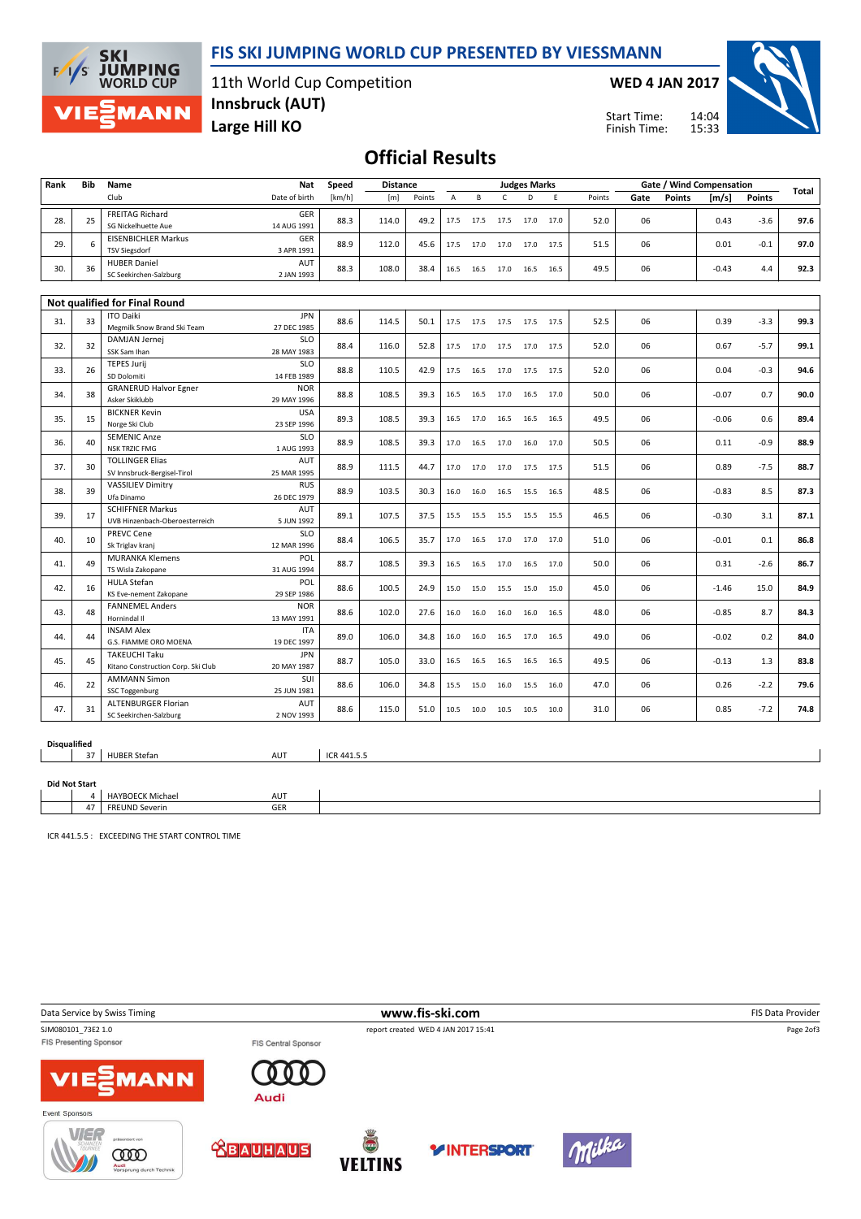## FIS SKI JUMPING WORLD CUP PRESENTED BY VIESSMANN



11th World Cup Competition Large Hill KO Innsbruck (AUT)

WED 4 JAN 2017



Start Time: Finish Time:

## Official Results

| Rank                                 | Bib | Name                                           | Nat                       | Speed       | <b>Distance</b> | <b>Judges Marks</b> |                     |           |                     |           |      |        |      | Gate / Wind Compensation |         |        |       |
|--------------------------------------|-----|------------------------------------------------|---------------------------|-------------|-----------------|---------------------|---------------------|-----------|---------------------|-----------|------|--------|------|--------------------------|---------|--------|-------|
|                                      |     | Club                                           | Date of birth             | [km/h]      | [m]             | Points              | A                   | B         | $\mathsf{C}$        | D         | E    | Points | Gate | <b>Points</b>            | [m/s]   | Points | Total |
| 28.                                  | 25  | <b>FREITAG Richard</b>                         | GER                       | 88.3        | 114.0           | 49.2                | 17.5                | 17.5      | 17.5 17.0           |           | 17.0 | 52.0   | 06   |                          | 0.43    | $-3.6$ | 97.6  |
|                                      |     | SG Nickelhuette Aue                            | 14 AUG 1991               |             |                 |                     |                     |           |                     |           |      |        |      |                          |         |        |       |
| 29.                                  | 6   | <b>EISENBICHLER Markus</b>                     | <b>GER</b>                | 88.9        | 112.0           | 45.6                |                     | 17.5 17.0 | 17.0 17.0           |           | 17.5 | 51.5   | 06   |                          | 0.01    | $-0.1$ | 97.0  |
|                                      |     | <b>TSV Siegsdorf</b>                           | 3 APR 1991                |             |                 |                     |                     |           |                     |           |      |        |      |                          |         |        |       |
| 30.                                  | 36  | <b>HUBER Daniel</b><br>SC Seekirchen-Salzburg  | AUT<br>2 JAN 1993         | 88.3        | 108.0           | 38.4                |                     |           | 16.5 16.5 17.0 16.5 |           | 16.5 | 49.5   | 06   |                          | $-0.43$ | 4.4    | 92.3  |
|                                      |     |                                                |                           |             |                 |                     |                     |           |                     |           |      |        |      |                          |         |        |       |
| <b>Not qualified for Final Round</b> |     |                                                |                           |             |                 |                     |                     |           |                     |           |      |        |      |                          |         |        |       |
|                                      |     | <b>ITO Daiki</b>                               | <b>JPN</b>                |             |                 |                     |                     |           |                     |           |      |        |      |                          |         |        |       |
| 31.                                  | 33  | Megmilk Snow Brand Ski Team                    | 27 DEC 1985               | 88.6        | 114.5           | 50.1                |                     |           | 17.5 17.5 17.5 17.5 |           | 17.5 | 52.5   | 06   |                          | 0.39    | $-3.3$ | 99.3  |
| 32.                                  | 32  | DAMJAN Jernej                                  | SLO                       | 88.4        | 116.0           | 52.8                | 17.5                | 17.0      | 17.5                | 17.0      | 17.5 | 52.0   | 06   |                          | 0.67    | $-5.7$ | 99.1  |
|                                      |     | SSK Sam Ihan                                   | 28 MAY 1983               |             |                 |                     |                     |           |                     |           |      |        |      |                          |         |        |       |
| 33.                                  | 26  | <b>TEPES Jurij</b>                             | <b>SLO</b>                | 88.8        | 110.5           | 42.9                | 17.5                | 16.5      | 17.0                | 17.5      | 17.5 | 52.0   | 06   |                          | 0.04    | $-0.3$ | 94.6  |
|                                      |     | SD Dolomiti                                    | 14 FEB 1989<br><b>NOR</b> |             |                 |                     |                     |           |                     |           |      |        |      |                          |         |        |       |
| 34.                                  | 38  | <b>GRANERUD Halvor Egner</b><br>Asker Skiklubb | 29 MAY 1996               | 88.8        | 108.5           | 39.3                | 16.5                | 16.5      | 17.0                | 16.5      | 17.0 | 50.0   | 06   |                          | $-0.07$ | 0.7    | 90.0  |
|                                      |     | <b>BICKNER Kevin</b>                           | <b>USA</b>                |             |                 |                     |                     |           |                     |           |      |        |      |                          |         |        |       |
| 35.                                  | 15  | Norge Ski Club                                 | 23 SEP 1996               | 89.3        | 108.5           | 39.3                | 16.5                | 17.0      | 16.5                | 16.5      | 16.5 | 49.5   | 06   |                          | $-0.06$ | 0.6    | 89.4  |
|                                      |     | <b>SEMENIC Anze</b>                            | <b>SLO</b>                | 88.9        | 108.5           |                     |                     |           |                     |           |      |        |      |                          |         |        |       |
| 36.                                  | 40  | <b>NSK TRZIC FMG</b>                           | 1 AUG 1993                |             |                 | 39.3                | 17.0                | 16.5      | 17.0                | 16.0      | 17.0 | 50.5   | 06   |                          | 0.11    | $-0.9$ | 88.9  |
| 37.                                  | 30  | <b>TOLLINGER Elias</b>                         | AUT                       | 88.9        | 111.5           | 44.7                | 17.0                | 17.0      | 17.0                | 17.5      | 17.5 | 51.5   | 06   |                          | 0.89    | $-7.5$ | 88.7  |
|                                      |     | SV Innsbruck-Bergisel-Tirol                    | 25 MAR 1995               |             |                 |                     |                     |           |                     |           |      |        |      |                          |         |        |       |
| 38.                                  | 39  | <b>VASSILIEV Dimitry</b>                       | <b>RUS</b>                | 88.9        | 103.5           | 30.3                | 16.0                | 16.0      | 16.5                | 15.5      | 16.5 | 48.5   | 06   |                          | $-0.83$ | 8.5    | 87.3  |
|                                      |     | Ufa Dinamo<br><b>SCHIFFNER Markus</b>          | 26 DEC 1979<br>AUT        |             |                 |                     |                     |           |                     |           |      |        |      |                          |         |        |       |
| 39.                                  | 17  | UVB Hinzenbach-Oberoesterreich                 | 5 JUN 1992                | 89.1        | 107.5           | 37.5                | 15.5                | 15.5      | 15.5 15.5           |           | 15.5 | 46.5   | 06   |                          | $-0.30$ | 3.1    | 87.1  |
|                                      |     | <b>PREVC Cene</b>                              | <b>SLO</b>                |             |                 |                     |                     |           |                     |           |      |        |      |                          |         |        |       |
| 40.                                  | 10  | Sk Triglav kranj                               | 12 MAR 1996               | 88.4        | 106.5           | 35.7                | 17.0                | 16.5      | 17.0                | 17.0      | 17.0 | 51.0   | 06   |                          | $-0.01$ | 0.1    | 86.8  |
|                                      | 49  | <b>MURANKA Klemens</b>                         | POL                       | 88.7        | 108.5           | 39.3                | 16.5                |           |                     |           |      | 50.0   | 06   |                          | 0.31    | $-2.6$ |       |
| 41.                                  |     | TS Wisla Zakopane                              | 31 AUG 1994               |             |                 |                     |                     |           | 16.5 17.0 16.5      |           | 17.0 |        |      |                          |         |        | 86.7  |
| 42.                                  | 16  | <b>HULA Stefan</b>                             | <b>POL</b>                | 88.6        | 100.5           | 24.9                | 15.0 15.0 15.5 15.0 |           |                     |           | 15.0 | 45.0   | 06   |                          | $-1.46$ | 15.0   | 84.9  |
|                                      |     | KS Eve-nement Zakopane                         | 29 SEP 1986               |             |                 |                     |                     |           |                     |           |      |        |      |                          |         |        |       |
| 43.                                  | 48  | <b>FANNEMEL Anders</b><br>Hornindal II         | <b>NOR</b><br>13 MAY 1991 | 88.6        | 102.0           | 27.6                | 16.0                | 16.0      | 16.0 16.0           |           | 16.5 | 48.0   | 06   |                          | $-0.85$ | 8.7    | 84.3  |
|                                      |     | <b>INSAM Alex</b>                              | <b>ITA</b>                |             |                 | 34.8                | 16.0                |           |                     |           |      |        |      |                          |         |        |       |
| 44.                                  | 44  | G.S. FIAMME ORO MOENA                          | 19 DEC 1997               | 89.0        | 106.0           |                     |                     | 16.0      |                     | 16.5 17.0 | 16.5 | 49.0   | 06   |                          | $-0.02$ | 0.2    | 84.0  |
|                                      |     | <b>TAKEUCHI Taku</b>                           | <b>JPN</b>                |             | 105.0           | 33.0                |                     |           |                     |           |      |        |      |                          |         |        |       |
| 45.                                  | 45  | Kitano Construction Corp. Ski Club             | 20 MAY 1987               | 88.7        |                 |                     | 16.5                | 16.5      | 16.5 16.5           |           | 16.5 | 49.5   | 06   |                          | $-0.13$ | 1.3    | 83.8  |
| 46.                                  | 22  | <b>AMMANN Simon</b>                            | SUI                       | 88.6        | 106.0           |                     | 15.5                |           | 16.0                | 15.5      | 16.0 | 47.0   | 06   |                          | 0.26    | $-2.2$ | 79.6  |
|                                      |     | SSC Toggenburg                                 | 25 JUN 1981               |             |                 | 34.8                |                     | 15.0      |                     |           |      |        |      |                          |         |        |       |
| 47.                                  | 31  | <b>ALTENBURGER Florian</b>                     | AUT                       | 88.6        | 115.0           | 51.0                |                     | 10.5 10.0 | 10.5 10.5           |           | 10.0 | 31.0   | 06   |                          | 0.85    | $-7.2$ | 74.8  |
|                                      |     | SC Seekirchen-Salzburg                         | 2 NOV 1993                |             |                 |                     |                     |           |                     |           |      |        |      |                          |         |        |       |
|                                      |     |                                                |                           |             |                 |                     |                     |           |                     |           |      |        |      |                          |         |        |       |
| <b>Disqualified</b>                  |     |                                                |                           |             |                 |                     |                     |           |                     |           |      |        |      |                          |         |        |       |
|                                      | 37  | <b>HUBER Stefan</b>                            | AUT                       | ICR 441.5.5 |                 |                     |                     |           |                     |           |      |        |      |                          |         |        |       |
|                                      |     |                                                |                           |             |                 |                     |                     |           |                     |           |      |        |      |                          |         |        |       |
| <b>Did Not Start</b>                 |     |                                                |                           |             |                 |                     |                     |           |                     |           |      |        |      |                          |         |        |       |

ICR 441.5.5 : EXCEEDING THE START CONTROL TIME

4 | HAYBOECK Michael AUT 47 FREUND Severin GER